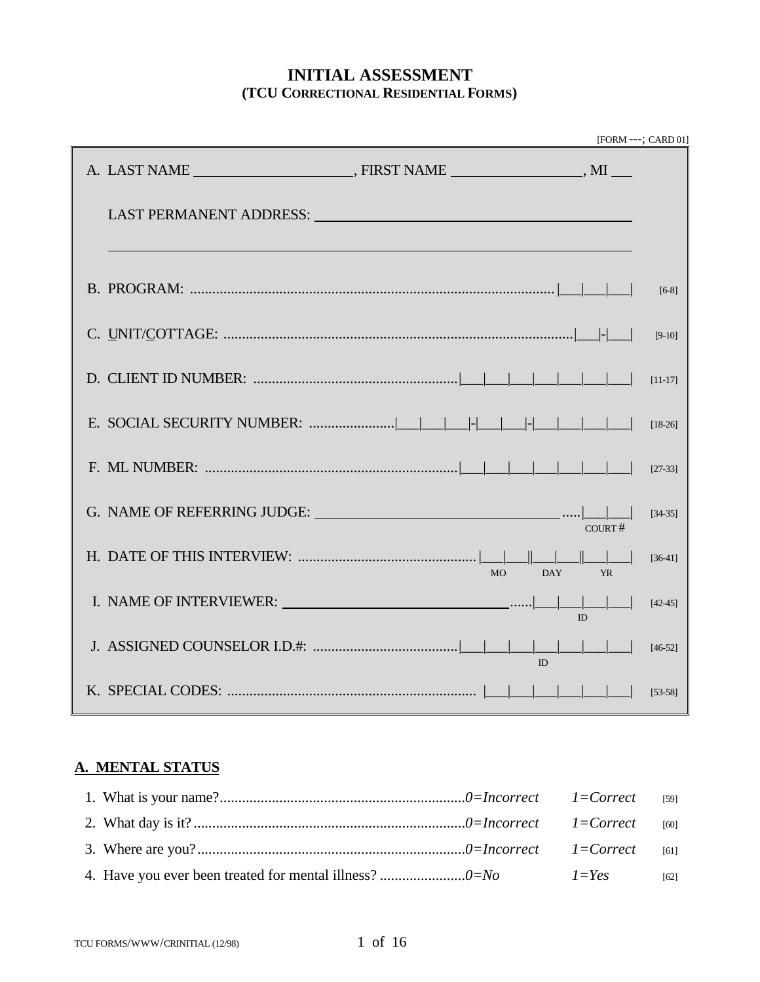## **INITIAL ASSESSMENT (TCU CORRECTIONAL RESIDENTIAL FORMS)**

|                                                                                                                                                                                                                                |                  |           | [FORM ---; CARD 01] |
|--------------------------------------------------------------------------------------------------------------------------------------------------------------------------------------------------------------------------------|------------------|-----------|---------------------|
|                                                                                                                                                                                                                                |                  |           |                     |
| LAST PERMANENT ADDRESS: University of the contract of the contract of the contract of the contract of the contract of the contract of the contract of the contract of the contract of the contract of the contract of the cont |                  |           |                     |
|                                                                                                                                                                                                                                |                  |           | $[6-8]$             |
|                                                                                                                                                                                                                                |                  |           | $[9-10]$            |
|                                                                                                                                                                                                                                |                  |           | $[11-17]$           |
|                                                                                                                                                                                                                                |                  |           | $[18-26]$           |
|                                                                                                                                                                                                                                |                  |           | $[27-33]$           |
| G. NAME OF REFERRING JUDGE: $\frac{ \text{Cov}_R }{\text{Cov}_R}$                                                                                                                                                              |                  |           | $[34-35]$           |
|                                                                                                                                                                                                                                | <b>DAY</b><br>MO | <b>YR</b> | $[36-41]$           |
|                                                                                                                                                                                                                                |                  | ID        | $[42-45]$           |
|                                                                                                                                                                                                                                |                  |           | $[46-52]$           |
|                                                                                                                                                                                                                                |                  |           | $[53-58]$           |

# **A. MENTAL STATUS**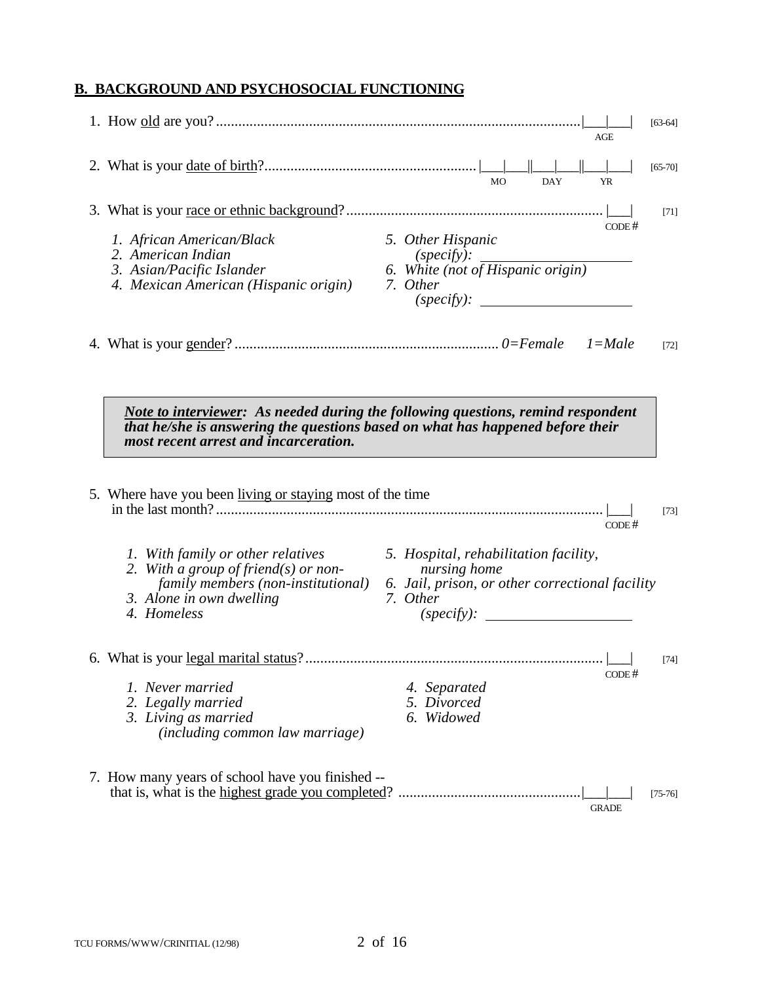# **B. BACKGROUND AND PSYCHOSOCIAL FUNCTIONING**

|                                                                                                                                                                                                                                                                          |                                                                                                                                    | AGE          | $[63-64]$ |
|--------------------------------------------------------------------------------------------------------------------------------------------------------------------------------------------------------------------------------------------------------------------------|------------------------------------------------------------------------------------------------------------------------------------|--------------|-----------|
|                                                                                                                                                                                                                                                                          | <b>MO</b><br><b>DAY</b>                                                                                                            | <b>YR</b>    | $[65-70]$ |
|                                                                                                                                                                                                                                                                          |                                                                                                                                    |              | $[71]$    |
| 1. African American/Black<br>2. American Indian<br>3. Asian/Pacific Islander<br>4. Mexican American (Hispanic origin)                                                                                                                                                    | 5. Other Hispanic<br>(specify):<br>6. White (not of Hispanic origin)<br>7. Other<br>(specify):                                     | CODE #       |           |
|                                                                                                                                                                                                                                                                          |                                                                                                                                    |              | $[72]$    |
| Note to interviewer: As needed during the following questions, remind respondent<br>that he/she is answering the questions based on what has happened before their<br>most recent arrest and incarceration.<br>5. Where have you been living or staying most of the time |                                                                                                                                    | CODE#        | $[73]$    |
| 1. With family or other relatives<br>2. With a group of friend(s) or non-<br>family members (non-institutional)<br>3. Alone in own dwelling<br>4. Homeless                                                                                                               | 5. Hospital, rehabilitation facility,<br>nursing home<br>6. Jail, prison, or other correctional facility<br>7. Other<br>(specify): |              |           |
| 1. Never married<br>2. Legally married<br>3. Living as married<br>(including common law marriage)                                                                                                                                                                        | 4. Separated<br>5. Divorced<br>6. Widowed                                                                                          | CODE #       | $[74]$    |
| 7. How many years of school have you finished --                                                                                                                                                                                                                         |                                                                                                                                    | <b>GRADE</b> | $[75-76]$ |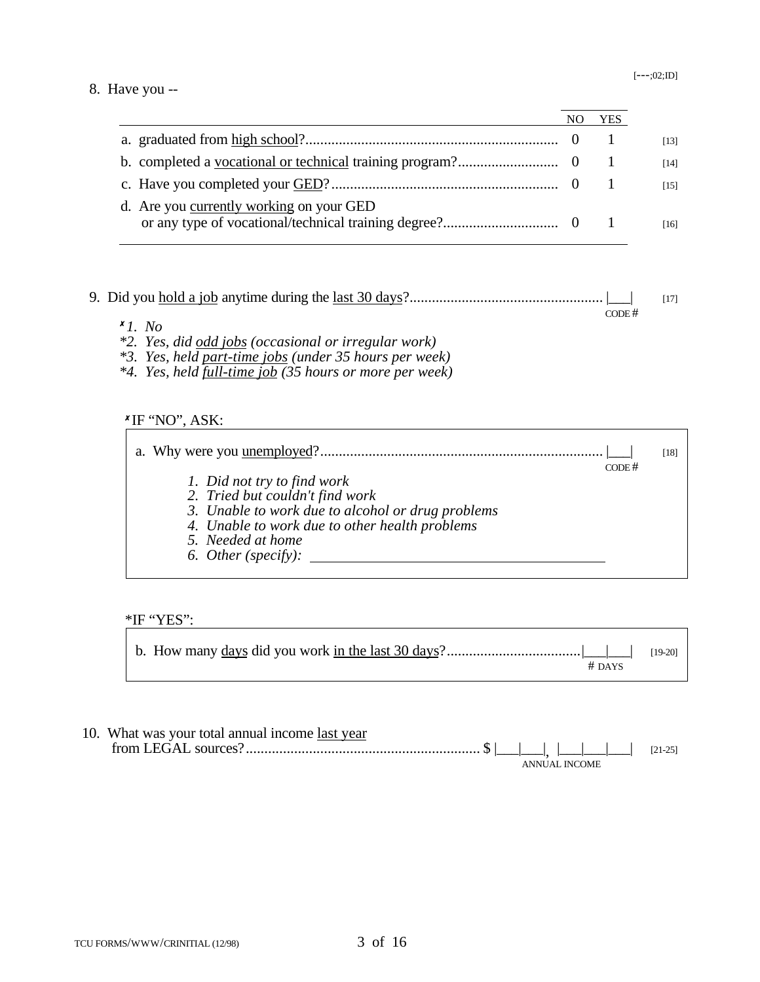#### 8. Have you --

|                                          | YES |
|------------------------------------------|-----|
|                                          |     |
|                                          |     |
|                                          |     |
| d. Are you currently working on your GED |     |

#### 9. Did you hold a job anytime during the last 30 days?.................................................... |\_\_\_| [17] CODE #

- <sup>8</sup>*1. No*
- *\*2. Yes, did odd jobs (occasional or irregular work)*
- *\*3. Yes, held part-time jobs (under 35 hours per week)*
- *\*4. Yes, held full-time job (35 hours or more per week)*

## <u>*K*IF 'NO'', ASK:</u>

|                                                   |       | [18] |
|---------------------------------------------------|-------|------|
|                                                   | CODE# |      |
| 1. Did not try to find work                       |       |      |
| 2. Tried but couldn't find work                   |       |      |
| 3. Unable to work due to alcohol or drug problems |       |      |
| 4. Unable to work due to other health problems    |       |      |
| 5. Needed at home                                 |       |      |
| 6. Other (specify):                               |       |      |
|                                                   |       |      |

#### \*IF "YES":

| $#$ DAYS |  |
|----------|--|

| 10. What was your total annual income last year |  |  |               |  |           |
|-------------------------------------------------|--|--|---------------|--|-----------|
|                                                 |  |  |               |  | $[21-25]$ |
|                                                 |  |  | ANNUAL INCOME |  |           |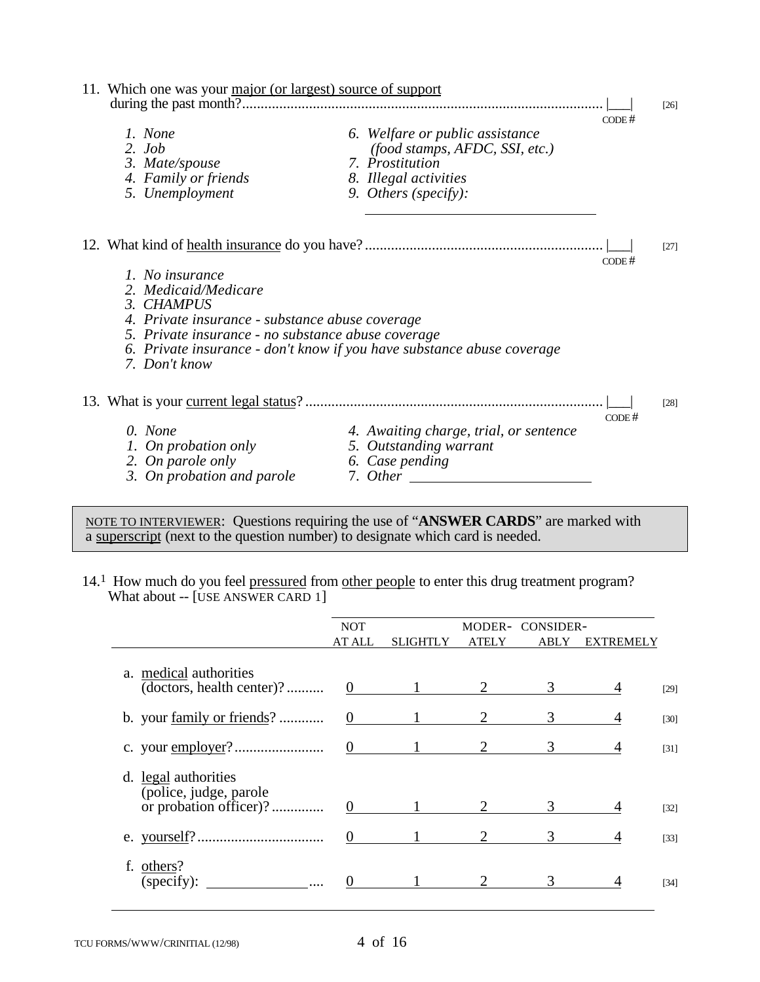| 11. Which one was your major (or largest) source of support                                                                                                                                                                                               |                                                                                                                                       |       | $\left[26\right]$ |
|-----------------------------------------------------------------------------------------------------------------------------------------------------------------------------------------------------------------------------------------------------------|---------------------------------------------------------------------------------------------------------------------------------------|-------|-------------------|
| 1. None<br>$2.$ Job<br>3. Mate/spouse<br>4. Family or friends<br>5. Unemployment                                                                                                                                                                          | 6. Welfare or public assistance<br>(food stamps, AFDC, SSI, etc.)<br>7. Prostitution<br>8. Illegal activities<br>9. Others (specify): | CODE# |                   |
|                                                                                                                                                                                                                                                           |                                                                                                                                       | CODE# | $[27]$            |
| 1. No insurance<br>2. Medicaid/Medicare<br>3. CHAMPUS<br>4. Private insurance - substance abuse coverage<br>5. Private insurance - no substance abuse coverage<br>6. Private insurance - don't know if you have substance abuse coverage<br>7. Don't know |                                                                                                                                       |       |                   |
|                                                                                                                                                                                                                                                           |                                                                                                                                       |       | [28]              |
| 0. None<br>1. On probation only<br>2. On parole only<br>3. On probation and parole                                                                                                                                                                        | 4. Awaiting charge, trial, or sentence<br>5. Outstanding warrant<br>6. Case pending<br>7. Other                                       | CODE# |                   |

NOTE TO INTERVIEWER: Questions requiring the use of "**ANSWER CARDS**" are marked with a superscript (next to the question number) to designate which card is needed.

14.<sup>1</sup> How much do you feel pressured from other people to enter this drug treatment program? What about -- [USE ANSWER CARD 1]

|                                                                          | <b>NOT</b>     |                 |       | MODER- CONSIDER- |                  |        |
|--------------------------------------------------------------------------|----------------|-----------------|-------|------------------|------------------|--------|
|                                                                          | AT ALL         | <b>SLIGHTLY</b> | ATELY | ABLY             | <b>EXTREMELY</b> |        |
| a. medical authorities<br>(doctors, health center)?                      | $\overline{0}$ |                 |       | 3                |                  | $[29]$ |
| b. your <u>family or friends</u> ?                                       | $\overline{0}$ |                 |       |                  |                  | $[30]$ |
|                                                                          | $\overline{0}$ |                 |       | 3                |                  | $[31]$ |
| d. legal authorities<br>(police, judge, parole<br>or probation officer)? | $\Omega$       |                 |       |                  |                  | $[32]$ |
|                                                                          |                |                 |       |                  |                  | $[33]$ |
| others?<br>(specify):                                                    |                |                 |       |                  |                  | $[34]$ |

 $\overline{a}$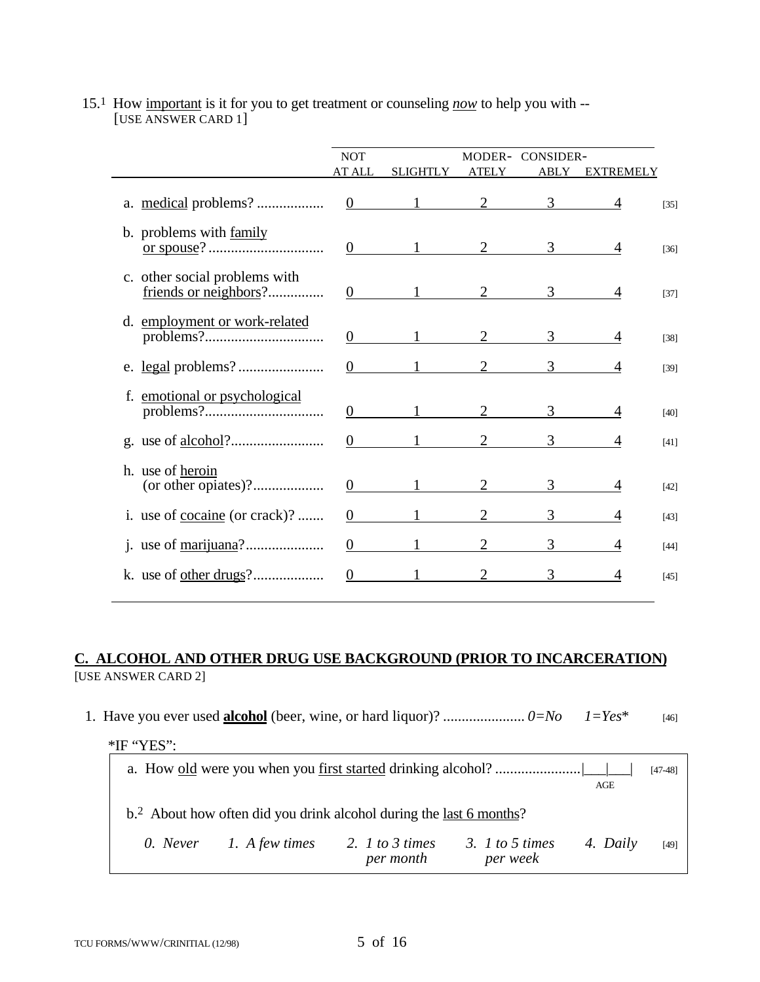|                                                        | <b>NOT</b><br><b>AT ALL</b> | <b>SLIGHTLY</b>     | <b>ATELY</b>   | MODER- CONSIDER-<br>ABLY | <b>EXTREMELY</b> |        |
|--------------------------------------------------------|-----------------------------|---------------------|----------------|--------------------------|------------------|--------|
|                                                        | $\overline{0}$              |                     | $\overline{2}$ | 3 <sup>7</sup>           |                  | $[35]$ |
| b. problems with family                                | $\overline{0}$              |                     |                | 3 <sup>7</sup>           |                  | $[36]$ |
| c. other social problems with<br>friends or neighbors? | $\overline{0}$              |                     |                | 3                        |                  | $[37]$ |
| d. employment or work-related                          | $\overline{0}$              |                     |                | 3                        |                  | $[38]$ |
|                                                        | $\Omega$                    |                     |                | 3                        |                  | $[39]$ |
|                                                        | $\theta$                    |                     |                | 3                        |                  | $[40]$ |
|                                                        | $\overline{0}$              |                     |                | 3                        | 4                | $[41]$ |
| h. use of heroin<br>(or other opiates)?                | $\Omega$                    |                     |                | 3                        |                  | $[42]$ |
| i. use of <u>cocaine</u> (or crack)?                   | $\overline{0}$              |                     | $\overline{2}$ | 3                        |                  | $[43]$ |
|                                                        |                             | $0 \qquad \qquad 1$ |                | 3                        |                  | $[44]$ |
|                                                        | $\overline{0}$              |                     |                | 3                        |                  | $[45]$ |

## 15.1 How important is it for you to get treatment or counseling *now* to help you with -- [USE ANSWER CARD 1]

## **C. ALCOHOL AND OTHER DRUG USE BACKGROUND (PRIOR TO INCARCERATION)** [USE ANSWER CARD 2]

1. Have you ever used **alcohol** (beer, wine, or hard liquor)? ...................... *0=No 1=Yes*\* [46] \*IF "YES": a. How old were you when you first started drinking alcohol? .......................|\_\_\_|\_\_\_| [47-48] AGE b.2 About how often did you drink alcohol during the last 6 months? *0. Never 1. A few times 2. 1 to 3 times 3. 1 to 5 times 4. Daily* [49] *per month per week*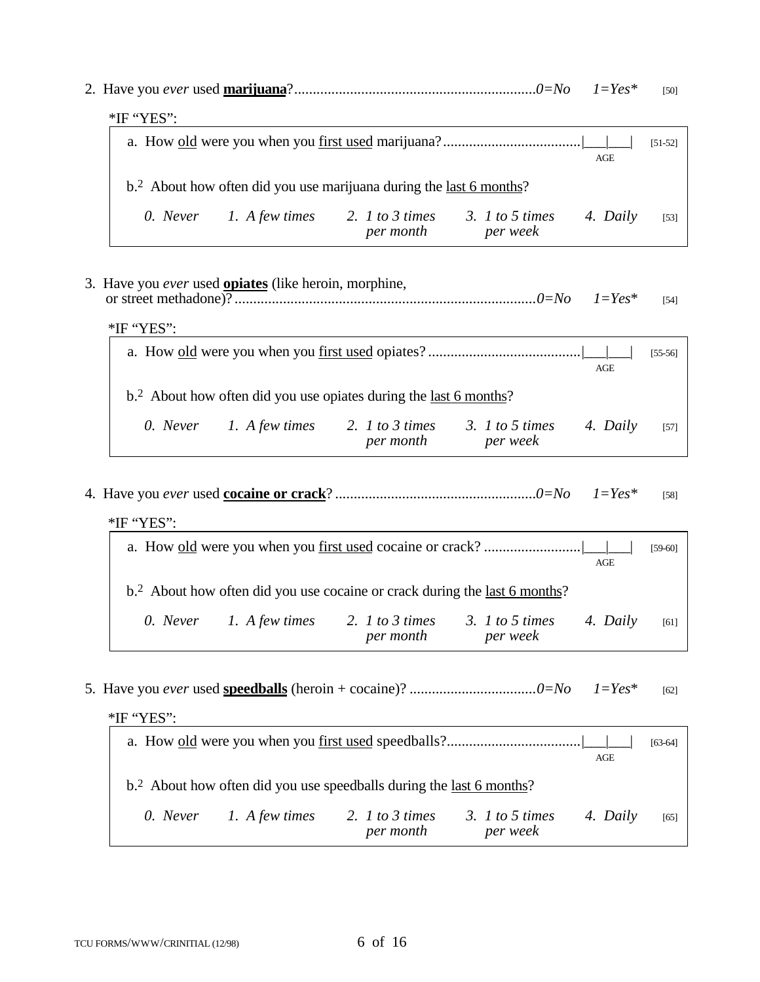|                                                                                 |               |                              |                             |          | [50]      |  |  |  |
|---------------------------------------------------------------------------------|---------------|------------------------------|-----------------------------|----------|-----------|--|--|--|
|                                                                                 |               |                              |                             |          |           |  |  |  |
|                                                                                 |               |                              |                             | AGE      | $[51-52]$ |  |  |  |
| b. <sup>2</sup> About how often did you use marijuana during the last 6 months? |               |                              |                             |          |           |  |  |  |
|                                                                                 |               | 2. 1 to 3 times<br>per month | 3. 1 to 5 times<br>per week | 4. Daily | [53]      |  |  |  |
|                                                                                 | $*$ IF "YES": | 0. Never 1. A few times      |                             |          |           |  |  |  |

3. Have you *ever* used **opiates** (like heroin, morphine, or street methadone)? .................................................................................*0=No 1=Yes*\* [54]

\*IF "YES":

|                                                                    |                         |                              |                               | AGE      | $[55-56]$ |  |  |  |
|--------------------------------------------------------------------|-------------------------|------------------------------|-------------------------------|----------|-----------|--|--|--|
| $b2$ About how often did you use opiates during the last 6 months? |                         |                              |                               |          |           |  |  |  |
|                                                                    | 0. Never 1. A few times | 2. 1 to 3 times<br>per month | 3. $1$ to 5 times<br>per week | 4. Daily | $[57]$    |  |  |  |

4. Have you *ever* used **cocaine or crack**? ......................................................*0=No 1=Yes\** [58]

| $*$ IF "YES":           |                              |                                                                                        |          |           |
|-------------------------|------------------------------|----------------------------------------------------------------------------------------|----------|-----------|
|                         |                              |                                                                                        |          | $[59-60]$ |
|                         |                              | b. <sup>2</sup> About how often did you use cocaine or crack during the last 6 months? | AGE      |           |
| 0. Never 1. A few times | 2. 1 to 3 times<br>per month | 3. 1 to 5 times<br>per week                                                            | 4. Daily | [61]      |

5. Have you *ever* used **speedballs** (heroin + cocaine)? ..................................*0=No 1=Yes*\* [62]

| $*$ IF "YES": |                |                                                                               |                               |          |           |
|---------------|----------------|-------------------------------------------------------------------------------|-------------------------------|----------|-----------|
|               |                |                                                                               |                               |          | $[63-64]$ |
|               |                |                                                                               |                               | AGE      |           |
|               |                | $b2$ About how often did you use speedballs during the <u>last 6 months</u> ? |                               |          |           |
| 0. Never      | 1. A few times | 2. 1 to 3 times<br>per month                                                  | 3. $1$ to 5 times<br>per week | 4. Daily | $[65]$    |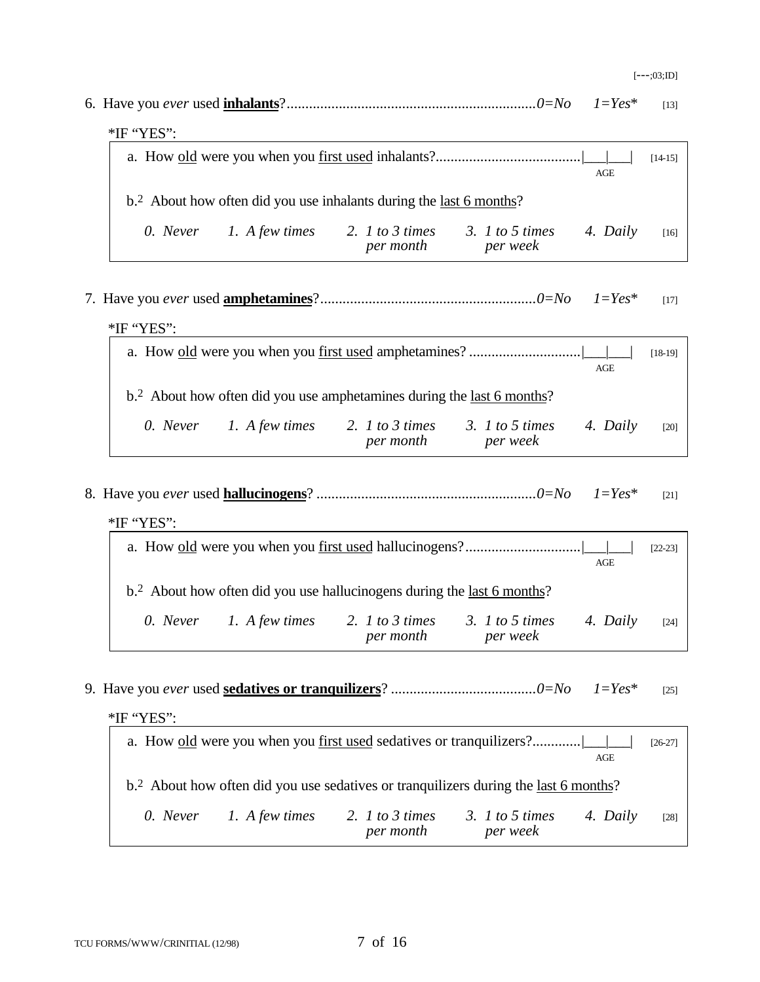| $1 = Yes^*$                                                                                                 | $[13]$    |
|-------------------------------------------------------------------------------------------------------------|-----------|
| *IF "YES":                                                                                                  |           |
| <b>AGE</b>                                                                                                  | $[14-15]$ |
| $b2$ About how often did you use inhalants during the <u>last 6 months</u> ?                                |           |
| 2. $1$ to $3$ times<br>3. $1$ to 5 times<br>0. Never<br>1. A few times<br>4. Daily<br>per month<br>per week | [16]      |
| $1 = Yes^*$                                                                                                 | $[17]$    |
| *IF "YES":                                                                                                  |           |
| <b>AGE</b>                                                                                                  | $[18-19]$ |
| b. <sup>2</sup> About how often did you use amphetamines during the <u>last 6 months</u> ?                  |           |
| 0. Never 1. A few times<br>2. $1$ to $3$ times<br>3. $1$ to 5 times<br>4. Daily<br>per month<br>per week    | [20]      |
| $1 = Yes^*$<br>*IF "YES":                                                                                   | $[21]$    |
| <b>AGE</b>                                                                                                  | $[22-23]$ |
| b. <sup>2</sup> About how often did you use hallucinogens during the last 6 months?                         |           |
| 1. A few times<br>0. Never<br>2. $1$ to 3 times<br>3. $1$ to 5 times<br>4. Daily<br>per month<br>per week   | $[24]$    |
| $1 = Yes^*$<br>*IF "YES":                                                                                   | $[25]$    |
| a. How old were you when you first used sedatives or tranquilizers?<br><b>AGE</b>                           | $[26-27]$ |
| b. <sup>2</sup> About how often did you use sedatives or tranquilizers during the last 6 months?            |           |

*0. Never 1. A few times 2. 1 to 3 times 3. 1 to 5 times 4. Daily* [28] *per month per week*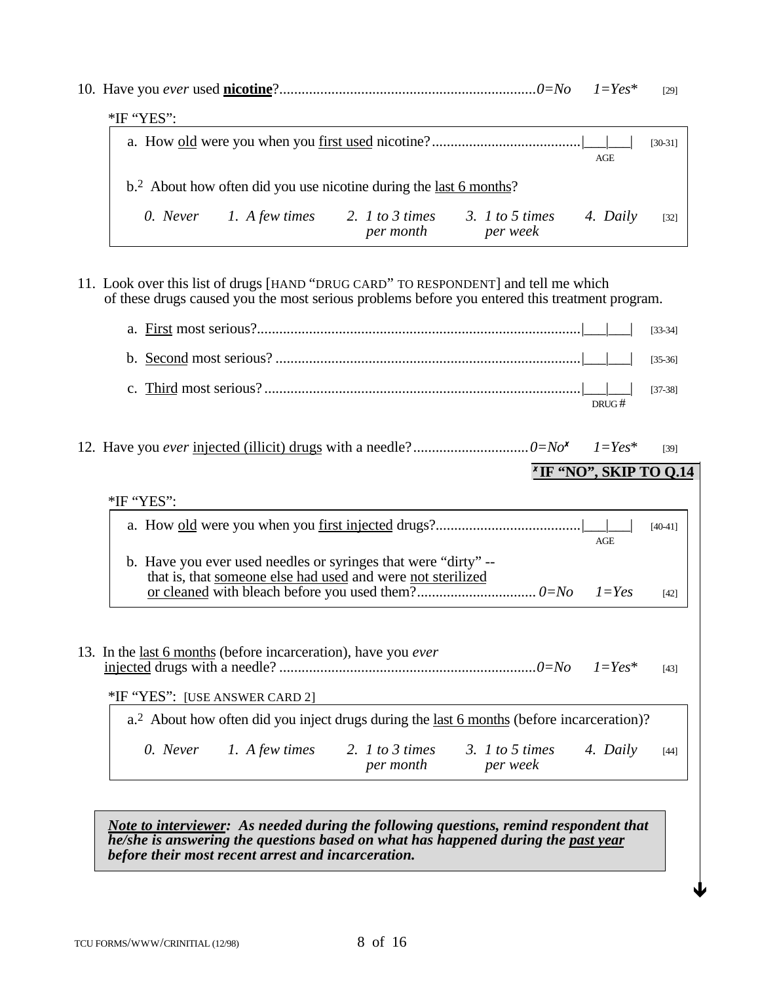|                                                                                |                              | $.0 = No$                     | $I = Yes^*$ | [29]        |
|--------------------------------------------------------------------------------|------------------------------|-------------------------------|-------------|-------------|
| $*$ IF "YES":                                                                  |                              |                               |             |             |
|                                                                                |                              |                               | AGE         | $[30-31]$   |
| b. <sup>2</sup> About how often did you use nicotine during the last 6 months? |                              |                               |             |             |
| 0. Never 1. A few times                                                        | 2. 1 to 3 times<br>per month | 3. $1$ to 5 times<br>per week | 4. Daily    | $\sqrt{32}$ |

11. Look over this list of drugs [HAND "DRUG CARD" TO RESPONDENT] and tell me which of these drugs caused you the most serious problems before you entered this treatment program.

|                                                                                                                               | $[33-34]$ |
|-------------------------------------------------------------------------------------------------------------------------------|-----------|
|                                                                                                                               | $[35-36]$ |
| DRUG#                                                                                                                         | $[37-38]$ |
| <sup>x</sup> IF "NO", SKIP TO 0.14                                                                                            | $[39]$    |
| *IF "YES":                                                                                                                    |           |
|                                                                                                                               |           |
| AGE                                                                                                                           | $[40-41]$ |
| b. Have you ever used needles or syringes that were "dirty" --<br>that is, that someone else had used and were not sterilized | $[42]$    |
| 13. In the <u>last 6 months</u> (before incarceration), have you <i>ever</i>                                                  | $[43]$    |
| *IF "YES": [USE ANSWER CARD 2]                                                                                                |           |
| a. <sup>2</sup> About how often did you inject drugs during the last 6 months (before incarceration)?                         |           |
| 0. Never 1. A few times 2. 1 to 3 times 3. 1 to 5 times<br>4. Daily<br>per month<br>per week                                  | $[44]$    |
|                                                                                                                               |           |

 *Note to interviewer: As needed during the following questions, remind respondent that he/she is answering the questions based on what has happened during the past year before their most recent arrest and incarceration.*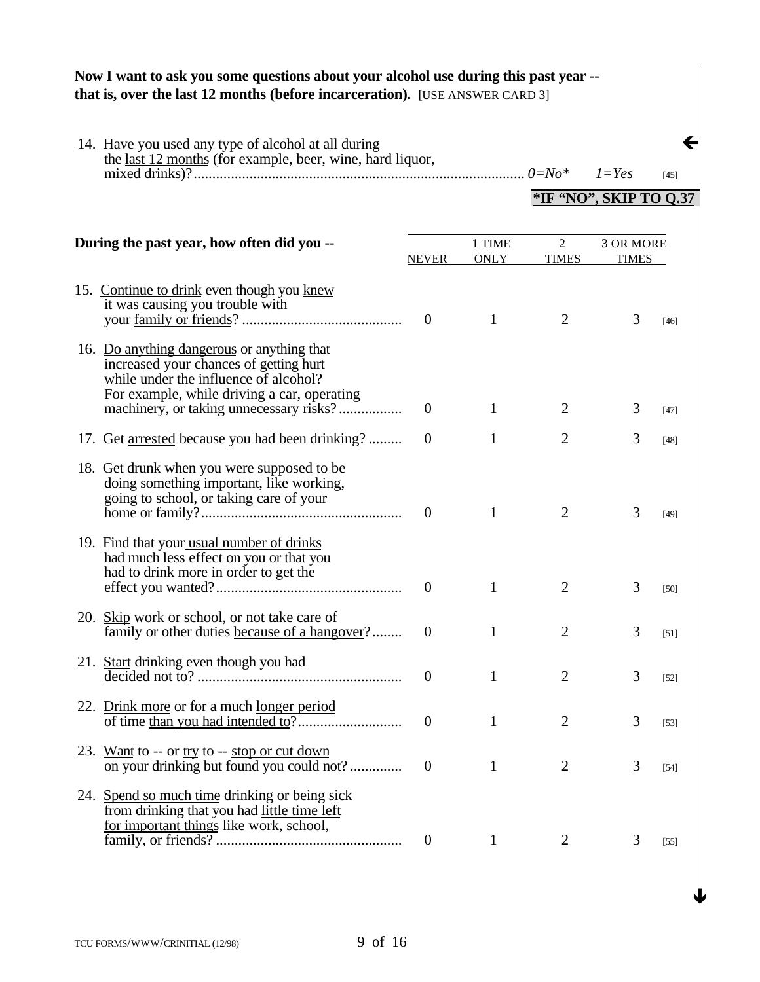# **Now I want to ask you some questions about your alcohol use during this past year - that is, over the last 12 months (before incarceration).** [USE ANSWER CARD 3]

| 14. Have you used any type of alcohol at all during<br>the <u>last 12 months</u> (for example, beer, wine, hard liquor,                                                      |                  |                       |                   | $1 = Yes$                 | $[45]$            |
|------------------------------------------------------------------------------------------------------------------------------------------------------------------------------|------------------|-----------------------|-------------------|---------------------------|-------------------|
|                                                                                                                                                                              |                  |                       |                   | *IF "NO", SKIP TO 0.37    |                   |
| During the past year, how often did you --                                                                                                                                   | <b>NEVER</b>     | 1 TIME<br><b>ONLY</b> | 2<br><b>TIMES</b> | 3 OR MORE<br><b>TIMES</b> |                   |
| 15. Continue to drink even though you knew<br>it was causing you trouble with                                                                                                | $\overline{0}$   | 1                     | $\overline{2}$    | 3                         | $[46]$            |
| 16. Do anything dangerous or anything that<br>increased your chances of getting hurt<br>while under the influence of alcohol?<br>For example, while driving a car, operating | $\theta$         | 1                     | $\overline{2}$    | 3                         | $[47]$            |
| 17. Get <u>arrested</u> because you had been drinking?                                                                                                                       | $\overline{0}$   | 1                     | $\overline{2}$    | 3                         | $[48]$            |
| 18. Get drunk when you were supposed to be<br>doing something important, like working,<br>going to school, or taking care of your                                            | $\overline{0}$   | 1                     | $\overline{2}$    | 3                         | $[49]$            |
| 19. Find that your usual number of drinks<br>had much less effect on you or that you<br>had to drink more in order to get the                                                | $\overline{0}$   | 1                     | $\overline{2}$    | 3                         | [50]              |
| 20. Skip work or school, or not take care of<br>family or other duties because of a hangover?                                                                                | $\overline{0}$   | 1                     | $\overline{2}$    | 3                         | [51]              |
|                                                                                                                                                                              | $\theta$         | 1                     | 2                 | 3                         | $[52]$            |
| 22. Drink more or for a much longer period                                                                                                                                   | $\theta$         | $\mathbf{1}$          | $\overline{2}$    | 3                         | $[53]$            |
| 23. Want to -- or try to -- stop or cut down<br>on your drinking but <u>found you could not</u> ?                                                                            | $\theta$         | $\mathbf{1}$          | $\overline{2}$    | 3                         | $[54]$            |
| 24. Spend so much time drinking or being sick<br>from drinking that you had little time left<br>for important things like work, school,                                      | $\boldsymbol{0}$ | $\mathbf{1}$          | $\overline{2}$    | 3                         | $\left[55\right]$ |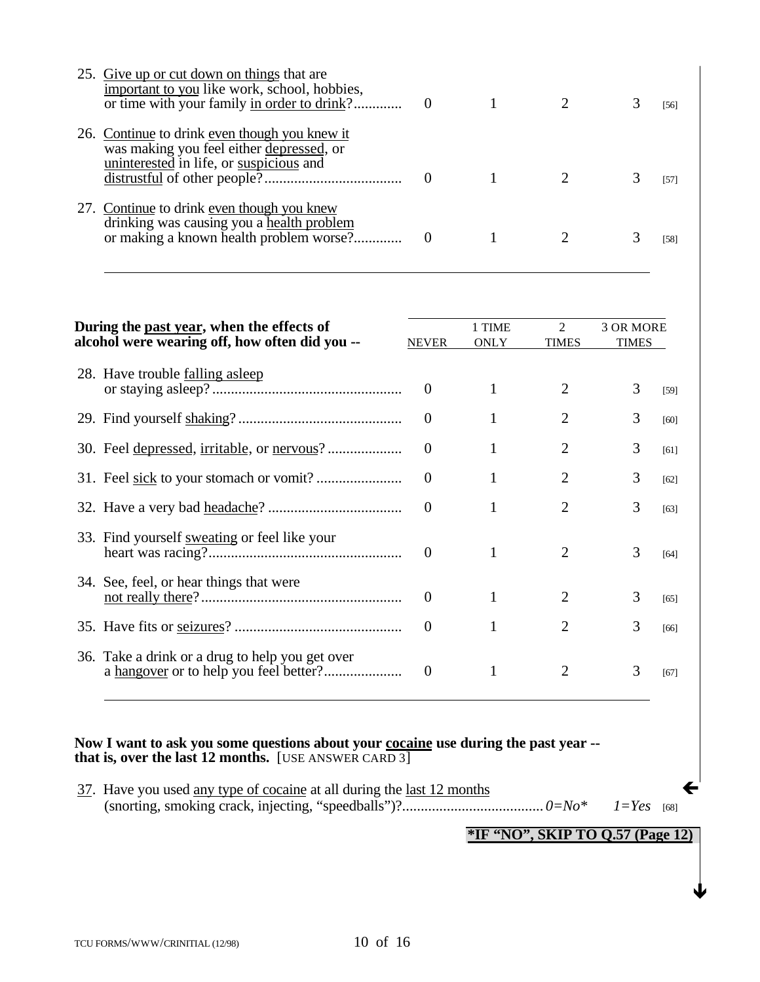| 25. Give up or cut down on things that are<br>important to you like work, school, hobbies, |  |  | [56] |
|--------------------------------------------------------------------------------------------|--|--|------|
| 26. Continue to drink even though you knew it                                              |  |  |      |
| was making you feel either depressed, or                                                   |  |  |      |
| uninterested in life, or suspicious and                                                    |  |  | [57] |
| 27. Continue to drink even though you knew                                                 |  |  |      |
| drinking was causing you a health problem                                                  |  |  | [58] |

| During the past year, when the effects of<br>alcohol were wearing off, how often did you -- |                                                 | <b>NEVER</b>   | 1 TIME<br><b>ONLY</b> | $\mathfrak{D}$<br><b>TIMES</b> | 3 OR MORE<br><b>TIMES</b> |      |
|---------------------------------------------------------------------------------------------|-------------------------------------------------|----------------|-----------------------|--------------------------------|---------------------------|------|
|                                                                                             | 28. Have trouble <u>falling asleep</u>          | $\theta$       | 1                     | 2                              | 3                         | [59] |
|                                                                                             |                                                 | $\theta$       |                       | 2                              | 3                         | [60] |
|                                                                                             |                                                 | $\Omega$       |                       | 2                              | 3                         | [61] |
|                                                                                             |                                                 | $\Omega$       |                       | 2                              | 3                         | [62] |
|                                                                                             |                                                 | $\theta$       |                       | 2                              | 3                         | [63] |
|                                                                                             | 33. Find yourself sweating or feel like your    | $\Omega$       |                       | $\mathcal{D}_{\mathcal{L}}$    | 3                         | [64] |
|                                                                                             | 34. See, feel, or hear things that were         | $\theta$       |                       | 2                              | 3                         | [65] |
|                                                                                             |                                                 | $\overline{0}$ |                       | $\mathcal{D}_{\mathcal{L}}$    | 3                         | [66] |
|                                                                                             | 36. Take a drink or a drug to help you get over | $\theta$       |                       | 2                              | 3                         | [67] |

## **Now I want to ask you some questions about your cocaine use during the past year - that is, over the last 12 months.** [USE ANSWER CARD 3]

 $37.$  Have you used <u>any type of cocaine</u> at all during the <u>last 12 months</u> (snorting, smoking crack, injecting, "speedballs")?...................................... *0=No\* 1=Yes* [68]

**\*IF "NO", SKIP TO Q.57 (Page 12)**

 $\blacklozenge$ 

 $\overline{a}$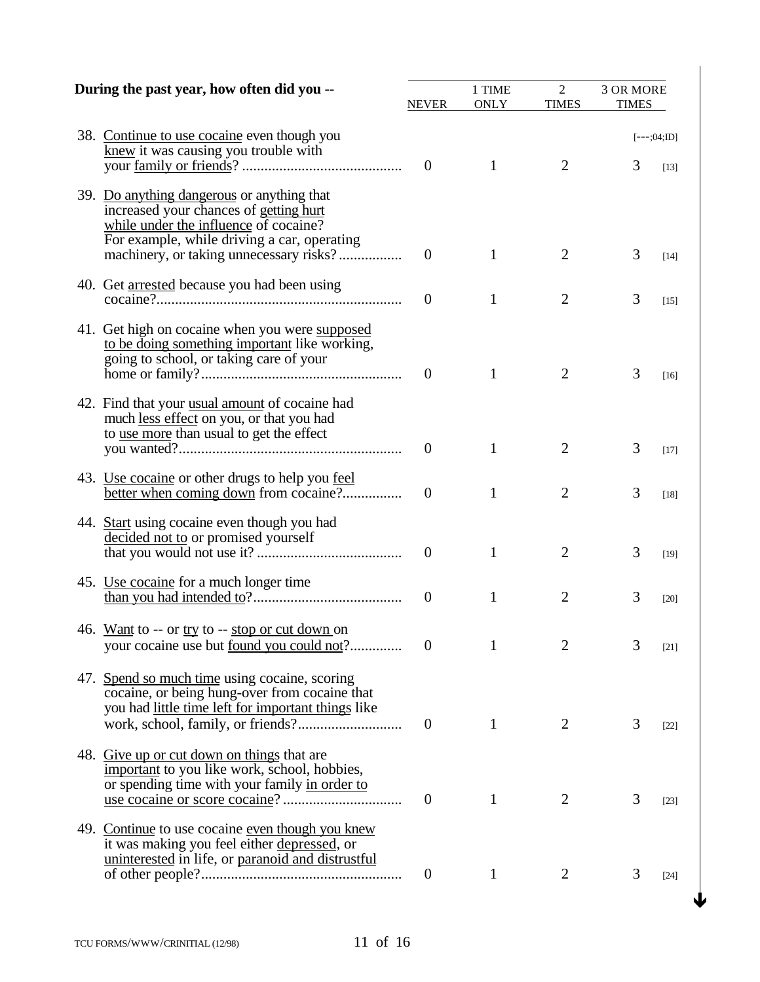| During the past year, how often did you --                                                                                                                                   | NEVER          | 1 TIME<br><b>ONLY</b> | $\overline{2}$<br><b>TIMES</b> | 3 OR MORE<br><b>TIMES</b> |                         |
|------------------------------------------------------------------------------------------------------------------------------------------------------------------------------|----------------|-----------------------|--------------------------------|---------------------------|-------------------------|
| 38. Continue to use cocaine even though you<br>knew it was causing you trouble with                                                                                          | $\overline{0}$ | 1                     | $\overline{2}$                 | 3                         | $[--;04;$ ID]<br>$[13]$ |
| 39. Do anything dangerous or anything that<br>increased your chances of getting hurt<br>while under the influence of cocaine?<br>For example, while driving a car, operating | $\theta$       | 1                     | 2                              | 3                         | [14]                    |
| 40. Get <u>arrested</u> because you had been using                                                                                                                           | $\overline{0}$ | 1                     | $\overline{2}$                 | 3                         | $[15]$                  |
| 41. Get high on cocaine when you were supposed<br>to be doing something important like working,<br>going to school, or taking care of your                                   | $\overline{0}$ | 1                     | 2                              | 3                         | [16]                    |
| 42. Find that your usual amount of cocaine had<br>much less effect on you, or that you had<br>to use more than usual to get the effect                                       | $\theta$       | 1                     | 2                              | 3                         | $[17]$                  |
| 43. Use cocaine or other drugs to help you <u>feel</u><br>better when coming down from cocaine?                                                                              | $\theta$       | 1                     | $\overline{2}$                 | 3                         | $[18]$                  |
| 44. Start using cocaine even though you had<br>decided not to or promised yourself                                                                                           | $\theta$       | 1                     | $\overline{2}$                 | 3                         | [19]                    |
| 45. Use cocaine for a much longer time                                                                                                                                       | $\theta$       | 1                     | $\overline{2}$                 | 3                         | $[20]$                  |
| 46. Want to -- or try to -- stop or cut down on<br>your cocaine use but <u>found you could not</u> ?                                                                         | $\theta$       | 1                     | $\overline{2}$                 | 3                         | $[21]$                  |
| 47. Spend so much time using cocaine, scoring<br>cocaine, or being hung-over from cocaine that<br>you had little time left for important things like                         | $\theta$       | 1                     | 2                              | 3                         | $[22]$                  |
| 48. Give up or cut down on things that are<br>important to you like work, school, hobbies,<br>or spending time with your family in order to                                  | $\theta$       | 1                     | 2                              | 3                         | $[23]$                  |
| 49. Continue to use cocaine even though you knew<br>it was making you feel either depressed, or<br>uninterested in life, or paranoid and distrustful                         | $\overline{0}$ | $\mathbf{1}$          | 2                              | 3                         | $[24]$                  |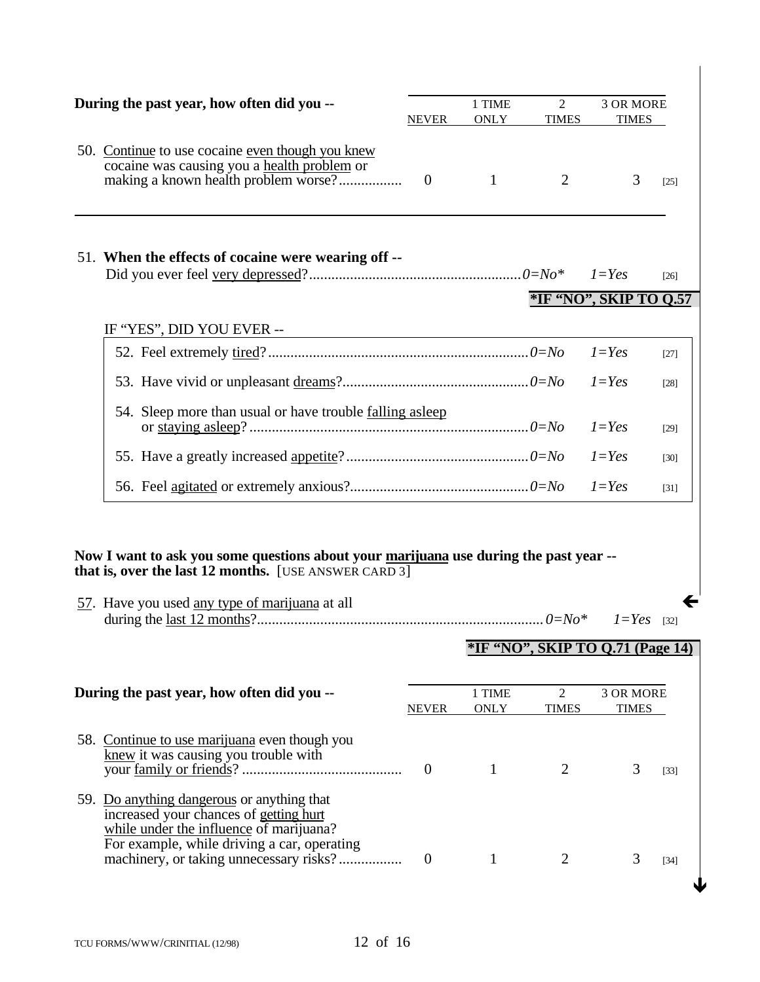| During the past year, how often did you --                                                                                                                                                       | <b>NEVER</b> | 1 TIME<br><b>ONLY</b> | 2<br><b>TIMES</b>              | <b>3 OR MORE</b><br><b>TIMES</b>        |                   |
|--------------------------------------------------------------------------------------------------------------------------------------------------------------------------------------------------|--------------|-----------------------|--------------------------------|-----------------------------------------|-------------------|
| 50. Continue to use cocaine even though you knew<br>cocaine was causing you a health problem or<br>making a known health problem worse?                                                          | $\theta$     | $\overline{1}$        | 2                              | 3                                       | $[25]$            |
| 51. When the effects of cocaine were wearing off --                                                                                                                                              |              |                       |                                |                                         | $[26]$            |
|                                                                                                                                                                                                  |              |                       |                                | *IF "NO", SKIP TO Q.57                  |                   |
| IF "YES", DID YOU EVER --                                                                                                                                                                        |              |                       |                                |                                         |                   |
|                                                                                                                                                                                                  |              |                       |                                | $1 = Yes$                               | $[27]$            |
|                                                                                                                                                                                                  |              |                       |                                | $l = Yes$                               | [28]              |
| 54. Sleep more than usual or have trouble <u>falling asleep</u>                                                                                                                                  |              |                       |                                | $1 = Yes$                               | $[29]$            |
|                                                                                                                                                                                                  |              |                       |                                | $1 = Yes$                               | $[30]$            |
|                                                                                                                                                                                                  |              |                       |                                | $1 = Yes$                               | $\left[31\right]$ |
|                                                                                                                                                                                                  |              |                       |                                |                                         |                   |
| Now I want to ask you some questions about your marijuana use during the past year --<br>that is, over the last 12 months. [USE ANSWER CARD 3]<br>57. Have you used any type of marijuana at all |              |                       |                                | $1 = Yes$                               | $\left[32\right]$ |
|                                                                                                                                                                                                  |              |                       |                                | <b>*IF "NO", SKIP TO Q.71 (Page 14)</b> |                   |
| During the past year, how often did you --                                                                                                                                                       | <b>NEVER</b> | 1 TIME<br><b>ONLY</b> | $\overline{2}$<br><b>TIMES</b> | 3 OR MORE<br><b>TIMES</b>               |                   |
| 58. Continue to use marijuana even though you<br>knew it was causing you trouble with                                                                                                            | $\mathbf{0}$ | $\mathbf{1}$          | 2                              | 3                                       | $[33]$            |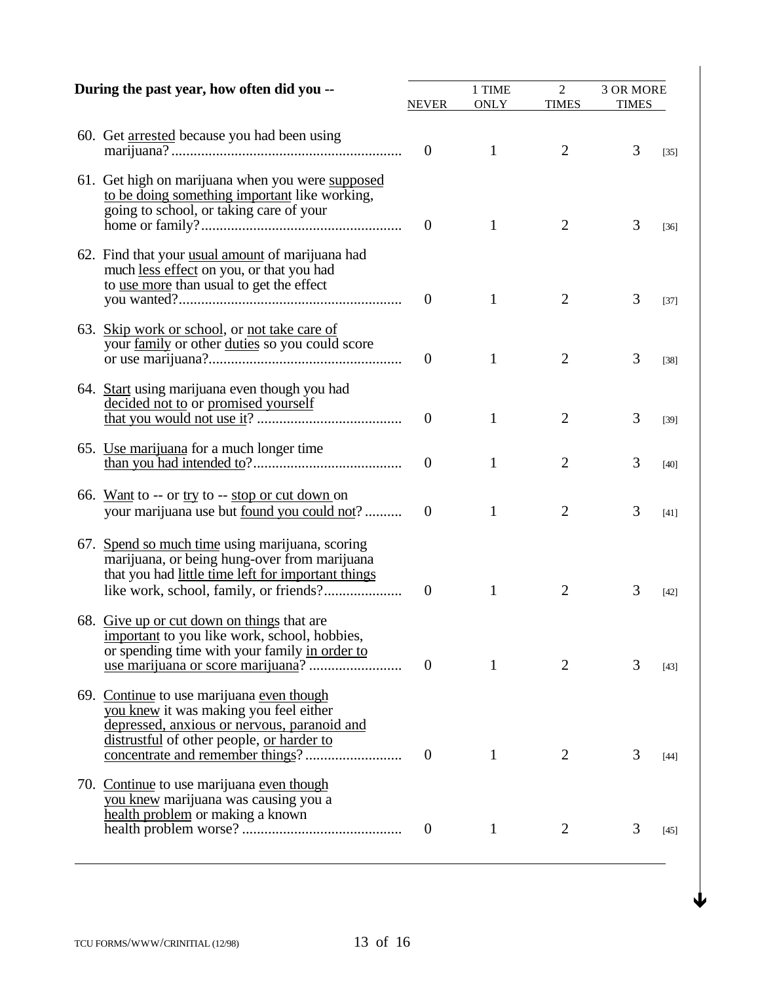| During the past year, how often did you --                                                                                                                                      | NEVER          | 1 TIME<br><b>ONLY</b> | $\overline{2}$<br><b>TIMES</b> | 3 OR MORE<br><b>TIMES</b> |        |
|---------------------------------------------------------------------------------------------------------------------------------------------------------------------------------|----------------|-----------------------|--------------------------------|---------------------------|--------|
| 60. Get arrested because you had been using                                                                                                                                     | $\overline{0}$ | $\mathbf{1}$          | 2                              | 3                         | $[35]$ |
| 61. Get high on marijuana when you were supposed<br>to be doing something important like working,<br>going to school, or taking care of your                                    | $\mathbf{0}$   | 1                     | 2                              | 3                         | $[36]$ |
| 62. Find that your usual amount of marijuana had<br>much less effect on you, or that you had<br>to use more than usual to get the effect                                        | $\theta$       | 1                     | 2                              | 3                         | $[37]$ |
| 63. Skip work or school, or not take care of<br>your family or other duties so you could score                                                                                  | $\theta$       | 1                     | $\overline{2}$                 | 3                         | $[38]$ |
| 64. Start using marijuana even though you had<br>decided not to or promised yourself                                                                                            | $\theta$       | 1                     | $\overline{2}$                 | 3                         | $[39]$ |
| 65. Use marijuana for a much longer time                                                                                                                                        | $\theta$       | 1                     | $\overline{2}$                 | 3                         | $[40]$ |
| 66. Want to -- or try to -- stop or cut down on<br>your marijuana use but <u>found you could not</u> ?                                                                          | $\theta$       | 1                     | $\overline{2}$                 | 3                         | [41]   |
| 67. Spend so much time using marijuana, scoring<br>marijuana, or being hung-over from marijuana<br>that you had little time left for important things                           | $\overline{0}$ | 1                     | $\overline{2}$                 | 3                         | $[42]$ |
| 68. Give up or cut down on things that are<br>important to you like work, school, hobbies,<br>or spending time with your family in order to                                     | $\theta$       | 1                     | 2                              | 3                         | [43]   |
| 69. Continue to use marijuana even though<br>you knew it was making you feel either<br>depressed, anxious or nervous, paranoid and<br>distrustful of other people, or harder to | $\mathbf{0}$   | 1                     | 2                              | 3                         | $[44]$ |
| 70. Continue to use marijuana even though<br>you knew marijuana was causing you a<br>health problem or making a known                                                           | $\mathbf{0}$   | 1                     | 2                              | 3                         | [45]   |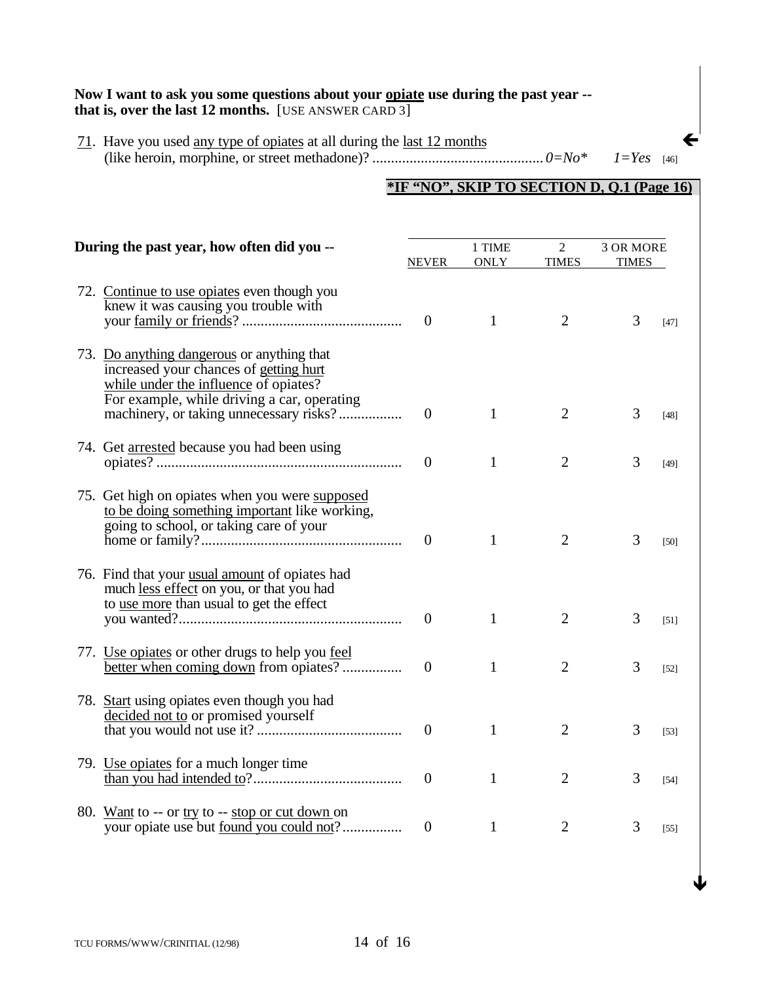#### Now I want to ask you some questions about your **opiate** use during the past year -**that is, over the last 12 months.** [USE ANSWER CARD 3]

71. Have you used any type of opiates at all during the last 12 months Á (like heroin, morphine, or street methadone)? .............................................. *0=No\* 1=Yes* [46]

# **\*IF "NO", SKIP TO SECTION D, Q.1 (Page 16)**

| During the past year, how often did you --                                                                                                                                   |                  | 1 TIME<br><b>ONLY</b> | $\overline{2}$<br><b>TIMES</b> | 3 OR MORE<br><b>TIMES</b> |        |
|------------------------------------------------------------------------------------------------------------------------------------------------------------------------------|------------------|-----------------------|--------------------------------|---------------------------|--------|
| 72. Continue to use opiates even though you<br>knew it was causing you trouble with                                                                                          | $\mathbf{0}$     | 1                     | $\overline{2}$                 | 3                         | $[47]$ |
| 73. Do anything dangerous or anything that<br>increased your chances of getting hurt<br>while under the influence of opiates?<br>For example, while driving a car, operating | $\boldsymbol{0}$ | 1                     | $\overline{2}$                 | 3                         | $[48]$ |
| 74. Get arrested because you had been using                                                                                                                                  | $\theta$         | 1                     | $\overline{2}$                 | 3                         | [49]   |
| 75. Get high on opiates when you were supposed<br>to be doing something important like working,<br>going to school, or taking care of your                                   | $\overline{0}$   | 1                     | $\overline{2}$                 | 3                         | [50]   |
| 76. Find that your usual amount of opiates had<br>much less effect on you, or that you had<br>to use more than usual to get the effect                                       | $\boldsymbol{0}$ | 1                     | $\overline{2}$                 | 3                         | [51]   |
| 77. Use opiates or other drugs to help you feel<br>better when coming down from opiates?                                                                                     | $\theta$         | 1                     | $\overline{2}$                 | 3                         | $[52]$ |
| 78. Start using opiates even though you had<br>decided not to or promised yourself                                                                                           | $\theta$         | 1                     | $\overline{2}$                 | 3                         | $[53]$ |
| 79. Use opiates for a much longer time                                                                                                                                       | $\overline{0}$   | 1                     | $\overline{2}$                 | 3                         | $[54]$ |
| 80. Want to -- or try to -- stop or cut down on<br>your opiate use but <u>found</u> you could not?                                                                           | $\overline{0}$   | 1                     | $\overline{2}$                 | 3                         | $[55]$ |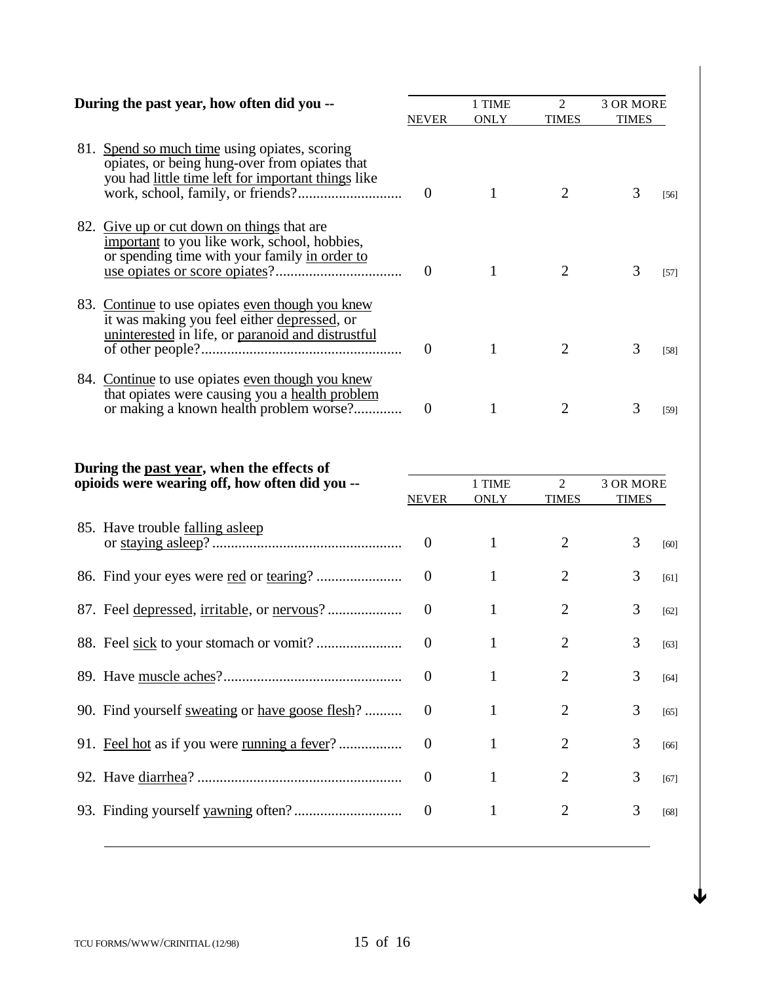| During the past year, how often did you -- |                                                                                                                                                      | <b>NEVER</b>     | 1 TIME<br><b>ONLY</b> | $\overline{2}$<br><b>TIMES</b> | 3 OR MORE<br><b>TIMES</b>        |        |
|--------------------------------------------|------------------------------------------------------------------------------------------------------------------------------------------------------|------------------|-----------------------|--------------------------------|----------------------------------|--------|
|                                            | 81. Spend so much time using opiates, scoring<br>opiates, or being hung-over from opiates that<br>you had little time left for important things like | $\overline{0}$   | $\mathbf{1}$          | 2                              | 3                                | $[56]$ |
|                                            | 82. Give up or cut down on things that are<br>important to you like work, school, hobbies,<br>or spending time with your family in order to          | $\Omega$         | 1                     | 2                              | 3                                | $[57]$ |
|                                            | 83. Continue to use opiates even though you knew<br>it was making you feel either depressed, or<br>uninterested in life, or paranoid and distrustful | $\theta$         | 1                     | $\overline{2}$                 | 3                                | $[58]$ |
|                                            | 84. Continue to use opiates even though you knew<br>that opiates were causing you a health problem<br>or making a known health problem worse?        | $\overline{0}$   | $\mathbf{1}$          | $\overline{2}$                 | 3                                | $[59]$ |
|                                            | During the past year, when the effects of<br>opioids were wearing off, how often did you --                                                          | <b>NEVER</b>     | 1 TIME<br><b>ONLY</b> | $\overline{2}$<br><b>TIMES</b> | <b>3 OR MORE</b><br><b>TIMES</b> |        |
|                                            | 85. Have trouble falling asleep                                                                                                                      | $\boldsymbol{0}$ | $\mathbf{1}$          | $\overline{2}$                 | 3                                | [60]   |
|                                            |                                                                                                                                                      | $\overline{0}$   | 1                     | $\overline{2}$                 | 3                                | [61]   |
|                                            |                                                                                                                                                      | $\theta$         | 1                     | $\overline{2}$                 | 3                                | [62]   |
|                                            |                                                                                                                                                      |                  | 1                     | $\overline{2}$                 | 3                                | $[63]$ |
|                                            |                                                                                                                                                      | $\boldsymbol{0}$ | $\mathbf{1}$          | $\overline{2}$                 | 3                                | $[64]$ |
|                                            | 90. Find yourself sweating or have goose flesh?                                                                                                      | $\overline{0}$   | $\mathbf{1}$          | $\overline{2}$                 | 3                                | $[65]$ |
|                                            | 91. Feel hot as if you were running a fever?                                                                                                         | $\overline{0}$   | $\mathbf{1}$          | $\mathbf{2}$                   | 3                                | $[66]$ |
|                                            |                                                                                                                                                      | $\boldsymbol{0}$ | $\mathbf{1}$          | $\overline{2}$                 | 3                                | $[67]$ |
|                                            |                                                                                                                                                      | $\boldsymbol{0}$ | $\mathbf{1}$          | $\mathbf{2}$                   | 3                                | $[68]$ |